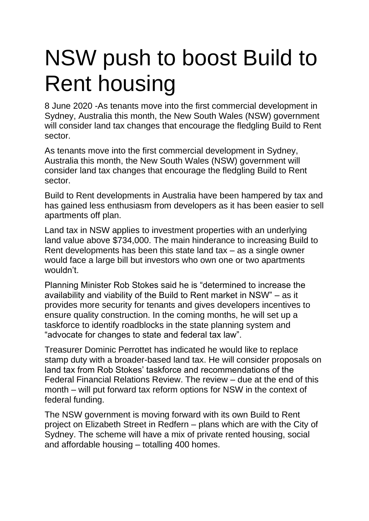## NSW push to boost Build to Rent housing

[8 June 2020](https://btrnews.co.uk/2020/06/08/nsw-push-to-boost-build-to-rent-housing/) -As tenants move into the first commercial development in Sydney, Australia this month, the New South Wales (NSW) government will consider land tax changes that encourage the fledgling Build to Rent sector.

As tenants move into the first commercial development in Sydney, Australia this month, the New South Wales (NSW) government will consider land tax changes that encourage the fledgling Build to Rent sector.

Build to Rent developments in Australia have been hampered by tax and has gained less enthusiasm from developers as it has been easier to sell apartments off plan.

Land tax in NSW applies to investment properties with an underlying land value above \$734,000. The main hinderance to increasing Build to Rent developments has been this state land tax – as a single owner would face a large bill but investors who own one or two apartments wouldn't.

Planning Minister Rob Stokes said he is "determined to increase the availability and viability of the Build to Rent market in NSW" – as it provides more security for tenants and gives developers incentives to ensure quality construction. In the coming months, he will set up a taskforce to identify roadblocks in the state planning system and "advocate for changes to state and federal tax law".

Treasurer Dominic Perrottet has indicated he would like to replace stamp duty with a broader-based land tax. He will consider proposals on land tax from Rob Stokes' taskforce and recommendations of the Federal Financial Relations Review. The review – due at the end of this month – will put forward tax reform options for NSW in the context of federal funding.

The NSW government is moving forward with its own Build to Rent project on Elizabeth Street in Redfern – plans which are with the City of Sydney. The scheme will have a mix of private rented housing, social and affordable housing – totalling 400 homes.